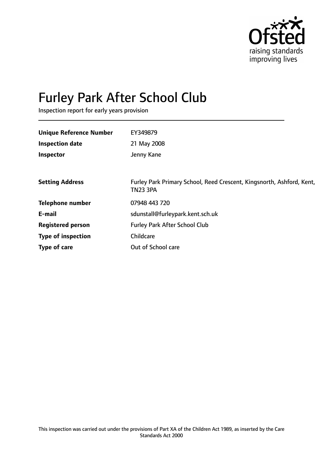

# Furley Park After School Club

Inspection report for early years provision

| <b>Unique Reference Number</b> | EY349879                                                                                 |
|--------------------------------|------------------------------------------------------------------------------------------|
| <b>Inspection date</b>         | 21 May 2008                                                                              |
| Inspector                      | Jenny Kane                                                                               |
|                                |                                                                                          |
| <b>Setting Address</b>         | Furley Park Primary School, Reed Crescent, Kingsnorth, Ashford, Kent,<br><b>TN23 3PA</b> |
| <b>Telephone number</b>        | 07948 443 720                                                                            |
| E-mail                         | sdunstall@furleypark.kent.sch.uk                                                         |
| <b>Registered person</b>       | <b>Furley Park After School Club</b>                                                     |
| <b>Type of inspection</b>      | Childcare                                                                                |
| Type of care                   | Out of School care                                                                       |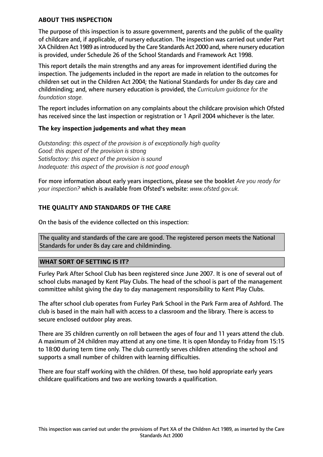## **ABOUT THIS INSPECTION**

The purpose of this inspection is to assure government, parents and the public of the quality of childcare and, if applicable, of nursery education. The inspection was carried out under Part XA Children Act 1989 as introduced by the Care Standards Act 2000 and, where nursery education is provided, under Schedule 26 of the School Standards and Framework Act 1998.

This report details the main strengths and any areas for improvement identified during the inspection. The judgements included in the report are made in relation to the outcomes for children set out in the Children Act 2004; the National Standards for under 8s day care and childminding; and, where nursery education is provided, the *Curriculum guidance for the foundation stage.*

The report includes information on any complaints about the childcare provision which Ofsted has received since the last inspection or registration or 1 April 2004 whichever is the later.

## **The key inspection judgements and what they mean**

*Outstanding: this aspect of the provision is of exceptionally high quality Good: this aspect of the provision is strong Satisfactory: this aspect of the provision is sound Inadequate: this aspect of the provision is not good enough*

For more information about early years inspections, please see the booklet *Are you ready for your inspection?* which is available from Ofsted's website: *www.ofsted.gov.uk.*

# **THE QUALITY AND STANDARDS OF THE CARE**

On the basis of the evidence collected on this inspection:

The quality and standards of the care are good. The registered person meets the National Standards for under 8s day care and childminding.

## **WHAT SORT OF SETTING IS IT?**

Furley Park After School Club has been registered since June 2007. It is one of several out of school clubs managed by Kent Play Clubs. The head of the school is part of the management committee whilst giving the day to day management responsibility to Kent Play Clubs.

The after school club operates from Furley Park School in the Park Farm area of Ashford. The club is based in the main hall with access to a classroom and the library. There is access to secure enclosed outdoor play areas.

There are 35 children currently on roll between the ages of four and 11 years attend the club. A maximum of 24 children may attend at any one time. It is open Monday to Friday from 15:15 to 18:00 during term time only. The club currently serves children attending the school and supports a small number of children with learning difficulties.

There are four staff working with the children. Of these, two hold appropriate early years childcare qualifications and two are working towards a qualification.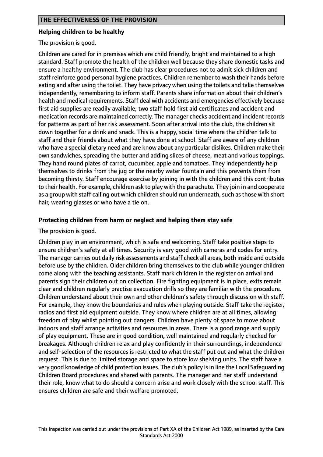#### **Helping children to be healthy**

The provision is good.

Children are cared for in premises which are child friendly, bright and maintained to a high standard. Staff promote the health of the children well because they share domestic tasks and ensure a healthy environment. The club has clear procedures not to admit sick children and staff reinforce good personal hygiene practices. Children remember to wash their hands before eating and after using the toilet. They have privacy when using the toilets and take themselves independently, remembering to inform staff. Parents share information about their children's health and medical requirements. Staff deal with accidents and emergencies effectively because first aid supplies are readily available, two staff hold first aid certificates and accident and medication records are maintained correctly. The manager checks accident and incident records for patterns as part of her risk assessment. Soon after arrival into the club, the children sit down together for a drink and snack. This is a happy, social time where the children talk to staff and their friends about what they have done at school. Staff are aware of any children who have a special dietary need and are know about any particular dislikes. Children make their own sandwiches, spreading the butter and adding slices of cheese, meat and various toppings. They hand round plates of carrot, cucumber, apple and tomatoes. They independently help themselves to drinks from the jug or the nearby water fountain and this prevents them from becoming thirsty. Staff encourage exercise by joining in with the children and this contributes to their health. For example, children ask to play with the parachute. They join in and cooperate as a group with staff calling out which children should run underneath, such as those with short hair, wearing glasses or who have a tie on.

## **Protecting children from harm or neglect and helping them stay safe**

The provision is good.

Children play in an environment, which is safe and welcoming. Staff take positive steps to ensure children's safety at all times. Security is very good with cameras and codes for entry. The manager carries out daily risk assessments and staff check all areas, both inside and outside before use by the children. Older children bring themselves to the club while younger children come along with the teaching assistants. Staff mark children in the register on arrival and parents sign their children out on collection. Fire fighting equipment is in place, exits remain clear and children regularly practise evacuation drills so they are familiar with the procedure. Children understand about their own and other children's safety through discussion with staff. For example, they know the boundaries and rules when playing outside. Staff take the register, radios and first aid equipment outside. They know where children are at all times, allowing freedom of play whilst pointing out dangers. Children have plenty of space to move about indoors and staff arrange activities and resources in areas. There is a good range and supply of play equipment. These are in good condition, well maintained and regularly checked for breakages. Although children relax and play confidently in their surroundings, independence and self-selection of the resources is restricted to what the staff put out and what the children request. This is due to limited storage and space to store low shelving units. The staff have a very good knowledge of child protection issues. The club's policy is in line the Local Safeguarding Children Board procedures and shared with parents. The manager and her staff understand their role, know what to do should a concern arise and work closely with the school staff. This ensures children are safe and their welfare promoted.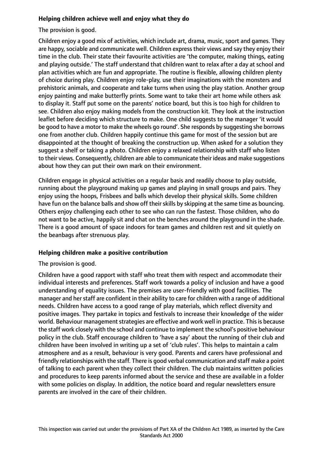# **Helping children achieve well and enjoy what they do**

The provision is good.

Children enjoy a good mix of activities, which include art, drama, music, sport and games. They are happy, sociable and communicate well. Children express their views and say they enjoy their time in the club. Their state their favourite activities are 'the computer, making things, eating and playing outside.' The staff understand that children want to relax after a day at school and plan activities which are fun and appropriate. The routine is flexible, allowing children plenty of choice during play. Children enjoy role-play, use their imaginations with the monsters and prehistoric animals, and cooperate and take turns when using the play station. Another group enjoy painting and make butterfly prints. Some want to take their art home while others ask to display it. Staff put some on the parents' notice board, but this is too high for children to see. Children also enjoy making models from the construction kit. They look at the instruction leaflet before deciding which structure to make. One child suggests to the manager 'it would be good to have a motor to make the wheels go round'. She responds by suggesting she borrows one from another club. Children happily continue this game for most of the session but are disappointed at the thought of breaking the construction up. When asked for a solution they suggest a shelf or taking a photo. Children enjoy a relaxed relationship with staff who listen to their views. Consequently, children are able to communicate their ideas and make suggestions about how they can put their own mark on their environment.

Children engage in physical activities on a regular basis and readily choose to play outside, running about the playground making up games and playing in small groups and pairs. They enjoy using the hoops, Frisbees and balls which develop their physical skills. Some children have fun on the balance balls and show off their skills by skipping at the same time as bouncing. Others enjoy challenging each other to see who can run the fastest. Those children, who do not want to be active, happily sit and chat on the benches around the playground in the shade. There is a good amount of space indoors for team games and children rest and sit quietly on the beanbags after strenuous play.

## **Helping children make a positive contribution**

The provision is good.

Children have a good rapport with staff who treat them with respect and accommodate their individual interests and preferences. Staff work towards a policy of inclusion and have a good understanding of equality issues. The premises are user-friendly with good facilities. The manager and herstaff are confident in their ability to care for children with a range of additional needs. Children have access to a good range of play materials, which reflect diversity and positive images. They partake in topics and festivals to increase their knowledge of the wider world. Behaviour management strategies are effective and work well in practice. This is because the staff work closely with the school and continue to implement the school's positive behaviour policy in the club. Staff encourage children to 'have a say' about the running of their club and children have been involved in writing up a set of 'club rules'. This helps to maintain a calm atmosphere and as a result, behaviour is very good. Parents and carers have professional and friendly relationships with the staff. There is good verbal communication and staff make a point of talking to each parent when they collect their children. The club maintains written policies and procedures to keep parents informed about the service and these are available in a folder with some policies on display. In addition, the notice board and regular newsletters ensure parents are involved in the care of their children.